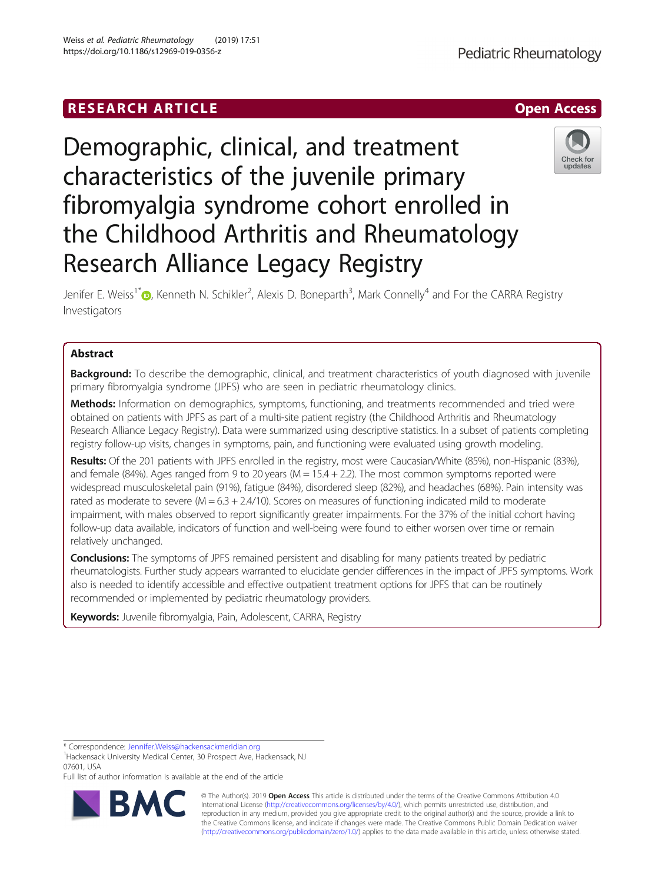# **RESEARCH ARTICLE Example 2018 12:00 Deep Access**

# Demographic, clinical, and treatment characteristics of the juvenile primary fibromyalgia syndrome cohort enrolled in the Childhood Arthritis and Rheumatology Research Alliance Legacy Registry

Jenifer E. Weiss<sup>1\*</sup>®, Kenneth N. Schikler<sup>2</sup>, Alexis D. Boneparth<sup>3</sup>, Mark Connelly<sup>4</sup> and For the CARRA Registry Investigators

# Abstract

**Background:** To describe the demographic, clinical, and treatment characteristics of youth diagnosed with juvenile primary fibromyalgia syndrome (JPFS) who are seen in pediatric rheumatology clinics.

Methods: Information on demographics, symptoms, functioning, and treatments recommended and tried were obtained on patients with JPFS as part of a multi-site patient registry (the Childhood Arthritis and Rheumatology Research Alliance Legacy Registry). Data were summarized using descriptive statistics. In a subset of patients completing registry follow-up visits, changes in symptoms, pain, and functioning were evaluated using growth modeling.

Results: Of the 201 patients with JPFS enrolled in the registry, most were Caucasian/White (85%), non-Hispanic (83%), and female (84%). Ages ranged from 9 to 20 years ( $M = 15.4 + 2.2$ ). The most common symptoms reported were widespread musculoskeletal pain (91%), fatigue (84%), disordered sleep (82%), and headaches (68%). Pain intensity was rated as moderate to severe ( $M = 6.3 + 2.4/10$ ). Scores on measures of functioning indicated mild to moderate impairment, with males observed to report significantly greater impairments. For the 37% of the initial cohort having follow-up data available, indicators of function and well-being were found to either worsen over time or remain relatively unchanged.

**Conclusions:** The symptoms of JPFS remained persistent and disabling for many patients treated by pediatric rheumatologists. Further study appears warranted to elucidate gender differences in the impact of JPFS symptoms. Work also is needed to identify accessible and effective outpatient treatment options for JPFS that can be routinely recommended or implemented by pediatric rheumatology providers.

Keywords: Juvenile fibromyalgia, Pain, Adolescent, CARRA, Registry

RA

<sup>1</sup> Hackensack University Medical Center, 30 Prospect Ave, Hackensack, NJ 07601, USA

Full list of author information is available at the end of the article

© The Author(s). 2019 **Open Access** This article is distributed under the terms of the Creative Commons Attribution 4.0 International License [\(http://creativecommons.org/licenses/by/4.0/](http://creativecommons.org/licenses/by/4.0/)), which permits unrestricted use, distribution, and reproduction in any medium, provided you give appropriate credit to the original author(s) and the source, provide a link to the Creative Commons license, and indicate if changes were made. The Creative Commons Public Domain Dedication waiver [\(http://creativecommons.org/publicdomain/zero/1.0/](http://creativecommons.org/publicdomain/zero/1.0/)) applies to the data made available in this article, unless otherwise stated.





<sup>\*</sup> Correspondence: [Jennifer.Weiss@hackensackmeridian.org](mailto:Jennifer.Weiss@hackensackmeridian.org) <sup>1</sup>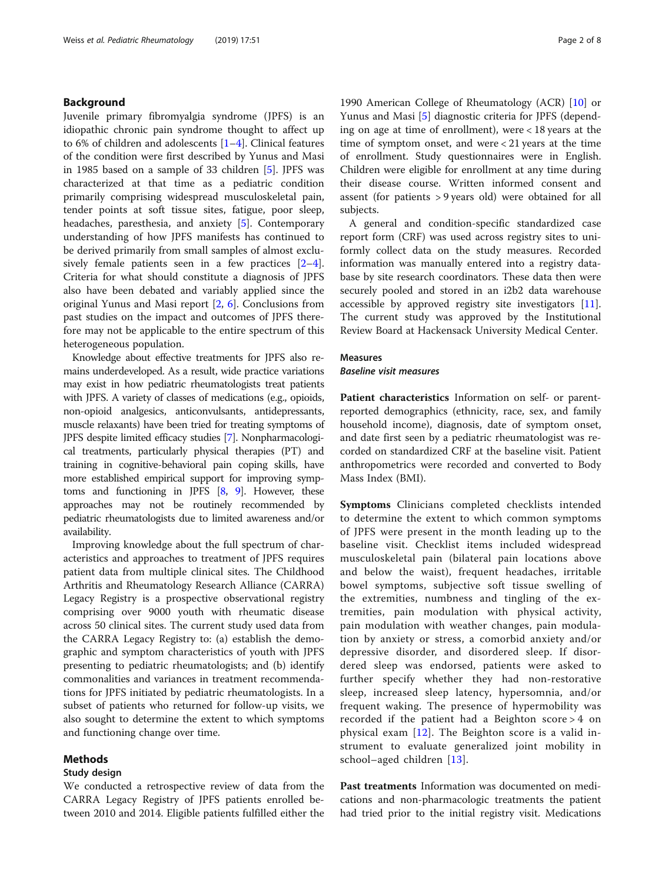# Background

Juvenile primary fibromyalgia syndrome (JPFS) is an idiopathic chronic pain syndrome thought to affect up to 6% of children and adolescents  $[1-4]$  $[1-4]$  $[1-4]$  $[1-4]$  $[1-4]$ . Clinical features of the condition were first described by Yunus and Masi in 1985 based on a sample of 33 children [[5\]](#page-7-0). JPFS was characterized at that time as a pediatric condition primarily comprising widespread musculoskeletal pain, tender points at soft tissue sites, fatigue, poor sleep, headaches, paresthesia, and anxiety [[5\]](#page-7-0). Contemporary understanding of how JPFS manifests has continued to be derived primarily from small samples of almost exclusively female patients seen in a few practices [\[2](#page-7-0)–[4](#page-7-0)]. Criteria for what should constitute a diagnosis of JPFS also have been debated and variably applied since the original Yunus and Masi report [\[2](#page-7-0), [6\]](#page-7-0). Conclusions from past studies on the impact and outcomes of JPFS therefore may not be applicable to the entire spectrum of this heterogeneous population.

Knowledge about effective treatments for JPFS also remains underdeveloped. As a result, wide practice variations may exist in how pediatric rheumatologists treat patients with JPFS. A variety of classes of medications (e.g., opioids, non-opioid analgesics, anticonvulsants, antidepressants, muscle relaxants) have been tried for treating symptoms of JPFS despite limited efficacy studies [\[7](#page-7-0)]. Nonpharmacological treatments, particularly physical therapies (PT) and training in cognitive-behavioral pain coping skills, have more established empirical support for improving symptoms and functioning in JPFS [\[8](#page-7-0), [9](#page-7-0)]. However, these approaches may not be routinely recommended by pediatric rheumatologists due to limited awareness and/or availability.

Improving knowledge about the full spectrum of characteristics and approaches to treatment of JPFS requires patient data from multiple clinical sites. The Childhood Arthritis and Rheumatology Research Alliance (CARRA) Legacy Registry is a prospective observational registry comprising over 9000 youth with rheumatic disease across 50 clinical sites. The current study used data from the CARRA Legacy Registry to: (a) establish the demographic and symptom characteristics of youth with JPFS presenting to pediatric rheumatologists; and (b) identify commonalities and variances in treatment recommendations for JPFS initiated by pediatric rheumatologists. In a subset of patients who returned for follow-up visits, we also sought to determine the extent to which symptoms and functioning change over time.

# Methods

#### Study design

We conducted a retrospective review of data from the CARRA Legacy Registry of JPFS patients enrolled between 2010 and 2014. Eligible patients fulfilled either the

1990 American College of Rheumatology (ACR) [[10\]](#page-7-0) or Yunus and Masi [\[5\]](#page-7-0) diagnostic criteria for JPFS (depending on age at time of enrollment), were < 18 years at the time of symptom onset, and were < 21 years at the time of enrollment. Study questionnaires were in English. Children were eligible for enrollment at any time during their disease course. Written informed consent and assent (for patients > 9 years old) were obtained for all subjects.

A general and condition-specific standardized case report form (CRF) was used across registry sites to uniformly collect data on the study measures. Recorded information was manually entered into a registry database by site research coordinators. These data then were securely pooled and stored in an i2b2 data warehouse accessible by approved registry site investigators [\[11](#page-7-0)]. The current study was approved by the Institutional Review Board at Hackensack University Medical Center.

# **Measures**

# Baseline visit measures

Patient characteristics Information on self- or parentreported demographics (ethnicity, race, sex, and family household income), diagnosis, date of symptom onset, and date first seen by a pediatric rheumatologist was recorded on standardized CRF at the baseline visit. Patient anthropometrics were recorded and converted to Body Mass Index (BMI).

Symptoms Clinicians completed checklists intended to determine the extent to which common symptoms of JPFS were present in the month leading up to the baseline visit. Checklist items included widespread musculoskeletal pain (bilateral pain locations above and below the waist), frequent headaches, irritable bowel symptoms, subjective soft tissue swelling of the extremities, numbness and tingling of the extremities, pain modulation with physical activity, pain modulation with weather changes, pain modulation by anxiety or stress, a comorbid anxiety and/or depressive disorder, and disordered sleep. If disordered sleep was endorsed, patients were asked to further specify whether they had non-restorative sleep, increased sleep latency, hypersomnia, and/or frequent waking. The presence of hypermobility was recorded if the patient had a Beighton score > 4 on physical exam [[12](#page-7-0)]. The Beighton score is a valid instrument to evaluate generalized joint mobility in school–aged children [[13](#page-7-0)].

Past treatments Information was documented on medications and non-pharmacologic treatments the patient had tried prior to the initial registry visit. Medications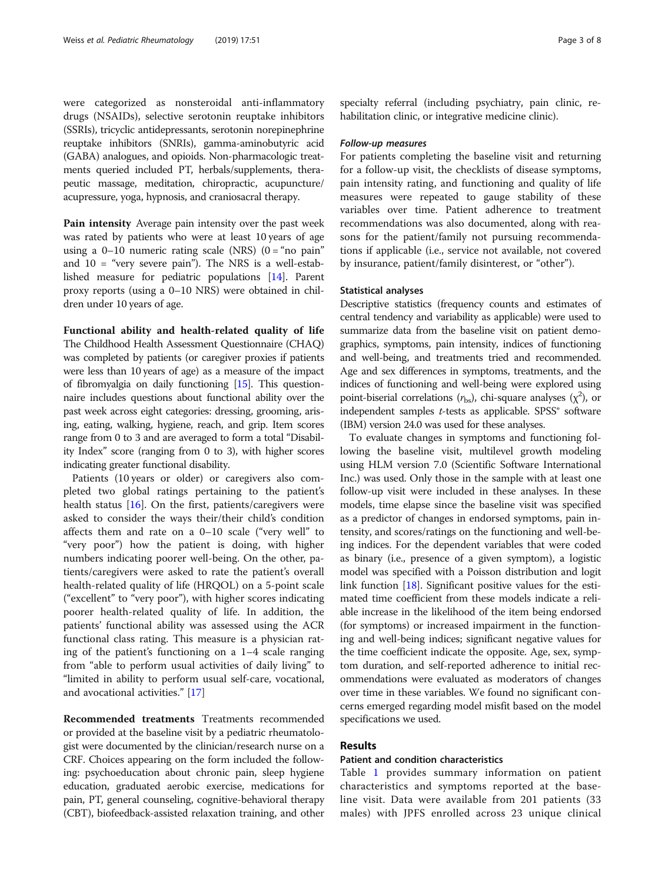were categorized as nonsteroidal anti-inflammatory drugs (NSAIDs), selective serotonin reuptake inhibitors (SSRIs), tricyclic antidepressants, serotonin norepinephrine reuptake inhibitors (SNRIs), gamma-aminobutyric acid (GABA) analogues, and opioids. Non-pharmacologic treatments queried included PT, herbals/supplements, therapeutic massage, meditation, chiropractic, acupuncture/ acupressure, yoga, hypnosis, and craniosacral therapy.

Pain intensity Average pain intensity over the past week was rated by patients who were at least 10 years of age using a  $0-10$  numeric rating scale (NRS)  $(0 = \text{``no pain''})$ and  $10 =$  "very severe pain"). The NRS is a well-established measure for pediatric populations [\[14\]](#page-7-0). Parent proxy reports (using a 0–10 NRS) were obtained in children under 10 years of age.

Functional ability and health-related quality of life The Childhood Health Assessment Questionnaire (CHAQ) was completed by patients (or caregiver proxies if patients were less than 10 years of age) as a measure of the impact of fibromyalgia on daily functioning [\[15\]](#page-7-0). This questionnaire includes questions about functional ability over the past week across eight categories: dressing, grooming, arising, eating, walking, hygiene, reach, and grip. Item scores range from 0 to 3 and are averaged to form a total "Disability Index" score (ranging from 0 to 3), with higher scores indicating greater functional disability.

Patients (10 years or older) or caregivers also completed two global ratings pertaining to the patient's health status  $[16]$  $[16]$ . On the first, patients/caregivers were asked to consider the ways their/their child's condition affects them and rate on a 0–10 scale ("very well" to "very poor") how the patient is doing, with higher numbers indicating poorer well-being. On the other, patients/caregivers were asked to rate the patient's overall health-related quality of life (HRQOL) on a 5-point scale ("excellent" to "very poor"), with higher scores indicating poorer health-related quality of life. In addition, the patients' functional ability was assessed using the ACR functional class rating. This measure is a physician rating of the patient's functioning on a 1–4 scale ranging from "able to perform usual activities of daily living" to "limited in ability to perform usual self-care, vocational, and avocational activities." [[17\]](#page-7-0)

Recommended treatments Treatments recommended or provided at the baseline visit by a pediatric rheumatologist were documented by the clinician/research nurse on a CRF. Choices appearing on the form included the following: psychoeducation about chronic pain, sleep hygiene education, graduated aerobic exercise, medications for pain, PT, general counseling, cognitive-behavioral therapy (CBT), biofeedback-assisted relaxation training, and other

specialty referral (including psychiatry, pain clinic, rehabilitation clinic, or integrative medicine clinic).

#### Follow-up measures

For patients completing the baseline visit and returning for a follow-up visit, the checklists of disease symptoms, pain intensity rating, and functioning and quality of life measures were repeated to gauge stability of these variables over time. Patient adherence to treatment recommendations was also documented, along with reasons for the patient/family not pursuing recommendations if applicable (i.e., service not available, not covered by insurance, patient/family disinterest, or "other").

# Statistical analyses

Descriptive statistics (frequency counts and estimates of central tendency and variability as applicable) were used to summarize data from the baseline visit on patient demographics, symptoms, pain intensity, indices of functioning and well-being, and treatments tried and recommended. Age and sex differences in symptoms, treatments, and the indices of functioning and well-being were explored using point-biserial correlations ( $r_{\rm bs}$ ), chi-square analyses ( $\chi^2$ ), or independent samples  $t$ -tests as applicable. SPSS<sup>®</sup> software (IBM) version 24.0 was used for these analyses.

To evaluate changes in symptoms and functioning following the baseline visit, multilevel growth modeling using HLM version 7.0 (Scientific Software International Inc.) was used. Only those in the sample with at least one follow-up visit were included in these analyses. In these models, time elapse since the baseline visit was specified as a predictor of changes in endorsed symptoms, pain intensity, and scores/ratings on the functioning and well-being indices. For the dependent variables that were coded as binary (i.e., presence of a given symptom), a logistic model was specified with a Poisson distribution and logit link function [[18](#page-7-0)]. Significant positive values for the estimated time coefficient from these models indicate a reliable increase in the likelihood of the item being endorsed (for symptoms) or increased impairment in the functioning and well-being indices; significant negative values for the time coefficient indicate the opposite. Age, sex, symptom duration, and self-reported adherence to initial recommendations were evaluated as moderators of changes over time in these variables. We found no significant concerns emerged regarding model misfit based on the model specifications we used.

# Results

# Patient and condition characteristics

Table [1](#page-3-0) provides summary information on patient characteristics and symptoms reported at the baseline visit. Data were available from 201 patients (33 males) with JPFS enrolled across 23 unique clinical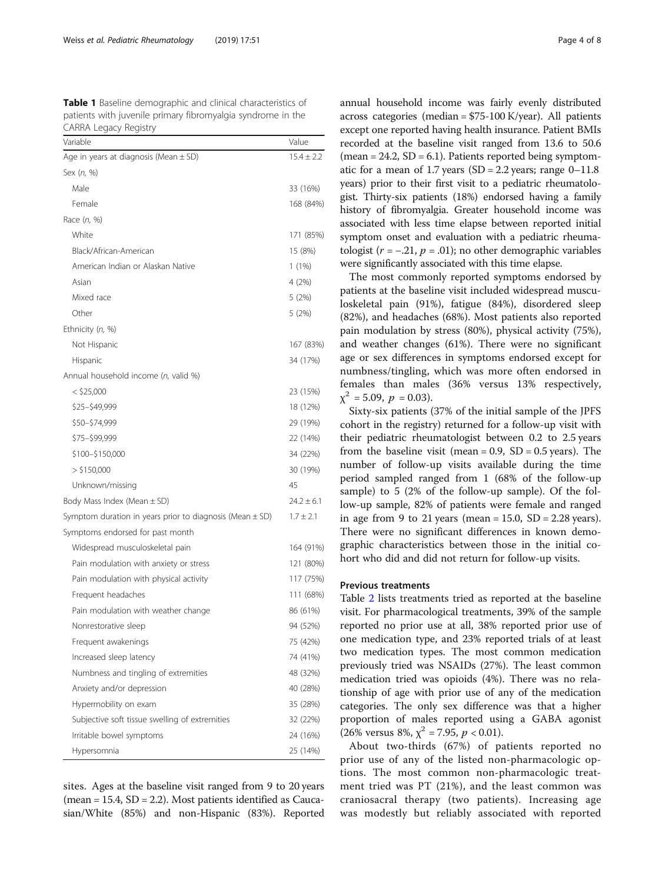<span id="page-3-0"></span>Table 1 Baseline demographic and clinical characteristics of patients with juvenile primary fibromyalgia syndrome in the CARRA Legacy Registry

| Variable                                                     | Value          |
|--------------------------------------------------------------|----------------|
| Age in years at diagnosis (Mean $\pm$ SD)                    | $15.4 \pm 2.2$ |
| Sex (n, %)                                                   |                |
| Male                                                         | 33 (16%)       |
| Female                                                       | 168 (84%)      |
| Race (n, %)                                                  |                |
| White                                                        | 171 (85%)      |
| Black/African-American                                       | 15 (8%)        |
| American Indian or Alaskan Native                            | $1(1\%)$       |
| Asian                                                        | 4 (2%)         |
| Mixed race                                                   | 5 (2%)         |
| Other                                                        | 5 (2%)         |
| Ethnicity $(n, %)$                                           |                |
| Not Hispanic                                                 | 167 (83%)      |
| Hispanic                                                     | 34 (17%)       |
| Annual household income (n, valid %)                         |                |
| $<$ \$25,000                                                 | 23 (15%)       |
| \$25-\$49,999                                                | 18 (12%)       |
| \$50-\$74,999                                                | 29 (19%)       |
| \$75-\$99,999                                                | 22 (14%)       |
| \$100-\$150,000                                              | 34 (22%)       |
| > \$150,000                                                  | 30 (19%)       |
| Unknown/missing                                              | 45             |
| Body Mass Index (Mean $\pm$ SD)                              | $24.2 \pm 6.1$ |
| Symptom duration in years prior to diagnosis (Mean $\pm$ SD) | $1.7 \pm 2.1$  |
| Symptoms endorsed for past month                             |                |
| Widespread musculoskeletal pain                              | 164 (91%)      |
| Pain modulation with anxiety or stress                       | 121 (80%)      |
| Pain modulation with physical activity                       | 117 (75%)      |
| Frequent headaches                                           | 111 (68%)      |
| Pain modulation with weather change                          | 86 (61%)       |
| Nonrestorative sleep                                         | 94 (52%)       |
| Frequent awakenings                                          | 75 (42%)       |
| Increased sleep latency                                      | 74 (41%)       |
| Numbness and tingling of extremities                         | 48 (32%)       |
| Anxiety and/or depression                                    | 40 (28%)       |
| Hypermobility on exam                                        | 35 (28%)       |
| Subjective soft tissue swelling of extremities               | 32 (22%)       |
| Irritable bowel symptoms                                     | 24 (16%)       |
| Hypersomnia                                                  | 25 (14%)       |

sites. Ages at the baseline visit ranged from 9 to 20 years  $(mean = 15.4, SD = 2.2)$ . Most patients identified as Caucasian/White (85%) and non-Hispanic (83%). Reported annual household income was fairly evenly distributed across categories (median =  $$75-100$  K/year). All patients except one reported having health insurance. Patient BMIs recorded at the baseline visit ranged from 13.6 to 50.6  $(mean = 24.2, SD = 6.1)$ . Patients reported being symptomatic for a mean of 1.7 years (SD = 2.2 years; range  $0-11.8$ ) years) prior to their first visit to a pediatric rheumatologist. Thirty-six patients (18%) endorsed having a family history of fibromyalgia. Greater household income was associated with less time elapse between reported initial symptom onset and evaluation with a pediatric rheumatologist ( $r = -.21$ ,  $p = .01$ ); no other demographic variables were significantly associated with this time elapse.

The most commonly reported symptoms endorsed by patients at the baseline visit included widespread musculoskeletal pain (91%), fatigue (84%), disordered sleep (82%), and headaches (68%). Most patients also reported pain modulation by stress (80%), physical activity (75%), and weather changes (61%). There were no significant age or sex differences in symptoms endorsed except for numbness/tingling, which was more often endorsed in females than males (36% versus 13% respectively,  $x^2 = 5.09$ ,  $p = 0.03$ ).

Sixty-six patients (37% of the initial sample of the JPFS cohort in the registry) returned for a follow-up visit with their pediatric rheumatologist between 0.2 to 2.5 years from the baseline visit (mean =  $0.9$ , SD =  $0.5$  years). The number of follow-up visits available during the time period sampled ranged from 1 (68% of the follow-up sample) to 5 (2% of the follow-up sample). Of the follow-up sample, 82% of patients were female and ranged in age from 9 to 21 years (mean =  $15.0$ , SD =  $2.28$  years). There were no significant differences in known demographic characteristics between those in the initial cohort who did and did not return for follow-up visits.

#### Previous treatments

Table [2](#page-4-0) lists treatments tried as reported at the baseline visit. For pharmacological treatments, 39% of the sample reported no prior use at all, 38% reported prior use of one medication type, and 23% reported trials of at least two medication types. The most common medication previously tried was NSAIDs (27%). The least common medication tried was opioids (4%). There was no relationship of age with prior use of any of the medication categories. The only sex difference was that a higher proportion of males reported using a GABA agonist (26% versus 8%,  $\chi^2$  = 7.95,  $p < 0.01$ ).

About two-thirds (67%) of patients reported no prior use of any of the listed non-pharmacologic options. The most common non-pharmacologic treatment tried was PT (21%), and the least common was craniosacral therapy (two patients). Increasing age was modestly but reliably associated with reported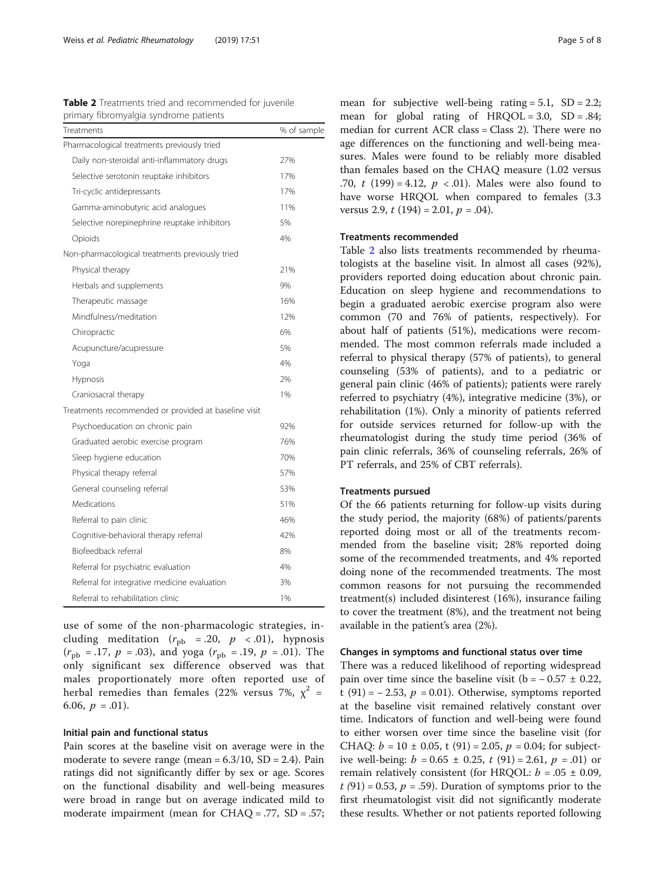<span id="page-4-0"></span>

| <b>Table 2</b> Treatments tried and recommended for juvenile |  |  |
|--------------------------------------------------------------|--|--|
| primary fibromyalgia syndrome patients                       |  |  |

| Treatments                                           | % of sample |
|------------------------------------------------------|-------------|
| Pharmacological treatments previously tried          |             |
| Daily non-steroidal anti-inflammatory drugs          | 27%         |
| Selective serotonin reuptake inhibitors              | 17%         |
| Tri-cyclic antidepressants                           | 17%         |
| Gamma-aminobutyric acid analogues                    | 11%         |
| Selective norepinephrine reuptake inhibitors         | 5%          |
| Opioids                                              | 4%          |
| Non-pharmacological treatments previously tried      |             |
| Physical therapy                                     | 21%         |
| Herbals and supplements                              | 9%          |
| Therapeutic massage                                  | 16%         |
| Mindfulness/meditation                               | 12%         |
| Chiropractic                                         | 6%          |
| Acupuncture/acupressure                              | 5%          |
| Yoga                                                 | 4%          |
| <b>Hypnosis</b>                                      | 2%          |
| Craniosacral therapy                                 | 1%          |
| Treatments recommended or provided at baseline visit |             |
| Psychoeducation on chronic pain                      | 92%         |
| Graduated aerobic exercise program                   | 76%         |
| Sleep hygiene education                              | 70%         |
| Physical therapy referral                            | 57%         |
| General counseling referral                          | 53%         |
| Medications                                          | 51%         |
| Referral to pain clinic                              | 46%         |
| Cognitive-behavioral therapy referral                | 42%         |
| Biofeedback referral                                 | 8%          |
| Referral for psychiatric evaluation                  | 4%          |
| Referral for integrative medicine evaluation         | 3%          |
| Referral to rehabilitation clinic                    | 1%          |

use of some of the non-pharmacologic strategies, including meditation ( $r_{\rm pb}$  = .20,  $p$  < .01), hypnosis  $(r_{\text{pb}} = .17, p = .03)$ , and yoga  $(r_{\text{pb}} = .19, p = .01)$ . The only significant sex difference observed was that males proportionately more often reported use of herbal remedies than females (22% versus 7%,  $\chi^2$  = 6.06,  $p = .01$ ).

## Initial pain and functional status

Pain scores at the baseline visit on average were in the moderate to severe range (mean =  $6.3/10$ , SD = 2.4). Pain ratings did not significantly differ by sex or age. Scores on the functional disability and well-being measures were broad in range but on average indicated mild to moderate impairment (mean for CHAQ = .77, SD = .57; mean for subjective well-being rating  $= 5.1$ , SD  $= 2.2$ ; mean for global rating of  $HRQOL = 3.0$ ,  $SD = .84$ ; median for current ACR class = Class 2). There were no age differences on the functioning and well-being measures. Males were found to be reliably more disabled than females based on the CHAQ measure (1.02 versus .70, t (199) = 4.12,  $p < .01$ ). Males were also found to have worse HROOL when compared to females (3.3) versus 2.9,  $t(194) = 2.01$ ,  $p = .04$ ).

# Treatments recommended

Table 2 also lists treatments recommended by rheumatologists at the baseline visit. In almost all cases (92%), providers reported doing education about chronic pain. Education on sleep hygiene and recommendations to begin a graduated aerobic exercise program also were common (70 and 76% of patients, respectively). For about half of patients (51%), medications were recommended. The most common referrals made included a referral to physical therapy (57% of patients), to general counseling (53% of patients), and to a pediatric or general pain clinic (46% of patients); patients were rarely referred to psychiatry (4%), integrative medicine (3%), or rehabilitation (1%). Only a minority of patients referred for outside services returned for follow-up with the rheumatologist during the study time period (36% of pain clinic referrals, 36% of counseling referrals, 26% of PT referrals, and 25% of CBT referrals).

## Treatments pursued

Of the 66 patients returning for follow-up visits during the study period, the majority (68%) of patients/parents reported doing most or all of the treatments recommended from the baseline visit; 28% reported doing some of the recommended treatments, and 4% reported doing none of the recommended treatments. The most common reasons for not pursuing the recommended treatment(s) included disinterest (16%), insurance failing to cover the treatment (8%), and the treatment not being available in the patient's area (2%).

# Changes in symptoms and functional status over time

There was a reduced likelihood of reporting widespread pain over time since the baseline visit ( $b = -0.57 \pm 0.22$ , t (91) =  $-$  2.53,  $p = 0.01$ ). Otherwise, symptoms reported at the baseline visit remained relatively constant over time. Indicators of function and well-being were found to either worsen over time since the baseline visit (for CHAQ:  $b = 10 \pm 0.05$ , t (91) = 2.05,  $p = 0.04$ ; for subjective well-being:  $b = 0.65 \pm 0.25$ ,  $t(91) = 2.61$ ,  $p = .01$ ) or remain relatively consistent (for HRQOL:  $b = .05 \pm 0.09$ ,  $t$  (91) = 0.53,  $p = .59$ ). Duration of symptoms prior to the first rheumatologist visit did not significantly moderate these results. Whether or not patients reported following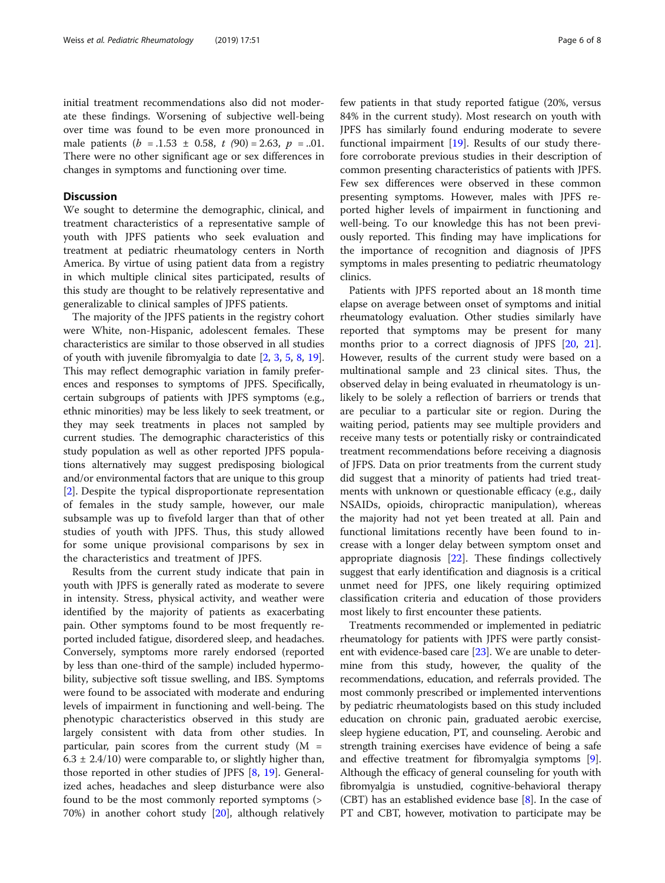over time was found to be even more pronounced in male patients ( $b = .1.53 \pm 0.58$ ,  $t (90) = 2.63$ ,  $p = .01$ . There were no other significant age or sex differences in changes in symptoms and functioning over time.

# **Discussion**

We sought to determine the demographic, clinical, and treatment characteristics of a representative sample of youth with JPFS patients who seek evaluation and treatment at pediatric rheumatology centers in North America. By virtue of using patient data from a registry in which multiple clinical sites participated, results of this study are thought to be relatively representative and generalizable to clinical samples of JPFS patients.

The majority of the JPFS patients in the registry cohort were White, non-Hispanic, adolescent females. These characteristics are similar to those observed in all studies of youth with juvenile fibromyalgia to date [\[2](#page-7-0), [3](#page-7-0), [5](#page-7-0), [8](#page-7-0), [19](#page-7-0)]. This may reflect demographic variation in family preferences and responses to symptoms of JPFS. Specifically, certain subgroups of patients with JPFS symptoms (e.g., ethnic minorities) may be less likely to seek treatment, or they may seek treatments in places not sampled by current studies. The demographic characteristics of this study population as well as other reported JPFS populations alternatively may suggest predisposing biological and/or environmental factors that are unique to this group [[2\]](#page-7-0). Despite the typical disproportionate representation of females in the study sample, however, our male subsample was up to fivefold larger than that of other studies of youth with JPFS. Thus, this study allowed for some unique provisional comparisons by sex in the characteristics and treatment of JPFS.

Results from the current study indicate that pain in youth with JPFS is generally rated as moderate to severe in intensity. Stress, physical activity, and weather were identified by the majority of patients as exacerbating pain. Other symptoms found to be most frequently reported included fatigue, disordered sleep, and headaches. Conversely, symptoms more rarely endorsed (reported by less than one-third of the sample) included hypermobility, subjective soft tissue swelling, and IBS. Symptoms were found to be associated with moderate and enduring levels of impairment in functioning and well-being. The phenotypic characteristics observed in this study are largely consistent with data from other studies. In particular, pain scores from the current study  $(M =$  $6.3 \pm 2.4/10$ ) were comparable to, or slightly higher than, those reported in other studies of JPFS [[8,](#page-7-0) [19](#page-7-0)]. Generalized aches, headaches and sleep disturbance were also found to be the most commonly reported symptoms (> 70%) in another cohort study [[20\]](#page-7-0), although relatively few patients in that study reported fatigue (20%, versus 84% in the current study). Most research on youth with JPFS has similarly found enduring moderate to severe functional impairment [\[19\]](#page-7-0). Results of our study therefore corroborate previous studies in their description of common presenting characteristics of patients with JPFS. Few sex differences were observed in these common presenting symptoms. However, males with JPFS reported higher levels of impairment in functioning and well-being. To our knowledge this has not been previously reported. This finding may have implications for the importance of recognition and diagnosis of JPFS symptoms in males presenting to pediatric rheumatology clinics.

Patients with JPFS reported about an 18 month time elapse on average between onset of symptoms and initial rheumatology evaluation. Other studies similarly have reported that symptoms may be present for many months prior to a correct diagnosis of JPFS [\[20](#page-7-0), [21](#page-7-0)]. However, results of the current study were based on a multinational sample and 23 clinical sites. Thus, the observed delay in being evaluated in rheumatology is unlikely to be solely a reflection of barriers or trends that are peculiar to a particular site or region. During the waiting period, patients may see multiple providers and receive many tests or potentially risky or contraindicated treatment recommendations before receiving a diagnosis of JFPS. Data on prior treatments from the current study did suggest that a minority of patients had tried treatments with unknown or questionable efficacy (e.g., daily NSAIDs, opioids, chiropractic manipulation), whereas the majority had not yet been treated at all. Pain and functional limitations recently have been found to increase with a longer delay between symptom onset and appropriate diagnosis [\[22\]](#page-7-0). These findings collectively suggest that early identification and diagnosis is a critical unmet need for JPFS, one likely requiring optimized classification criteria and education of those providers most likely to first encounter these patients.

Treatments recommended or implemented in pediatric rheumatology for patients with JPFS were partly consistent with evidence-based care [[23](#page-7-0)]. We are unable to determine from this study, however, the quality of the recommendations, education, and referrals provided. The most commonly prescribed or implemented interventions by pediatric rheumatologists based on this study included education on chronic pain, graduated aerobic exercise, sleep hygiene education, PT, and counseling. Aerobic and strength training exercises have evidence of being a safe and effective treatment for fibromyalgia symptoms [[9](#page-7-0)]. Although the efficacy of general counseling for youth with fibromyalgia is unstudied, cognitive-behavioral therapy (CBT) has an established evidence base  $[8]$  $[8]$ . In the case of PT and CBT, however, motivation to participate may be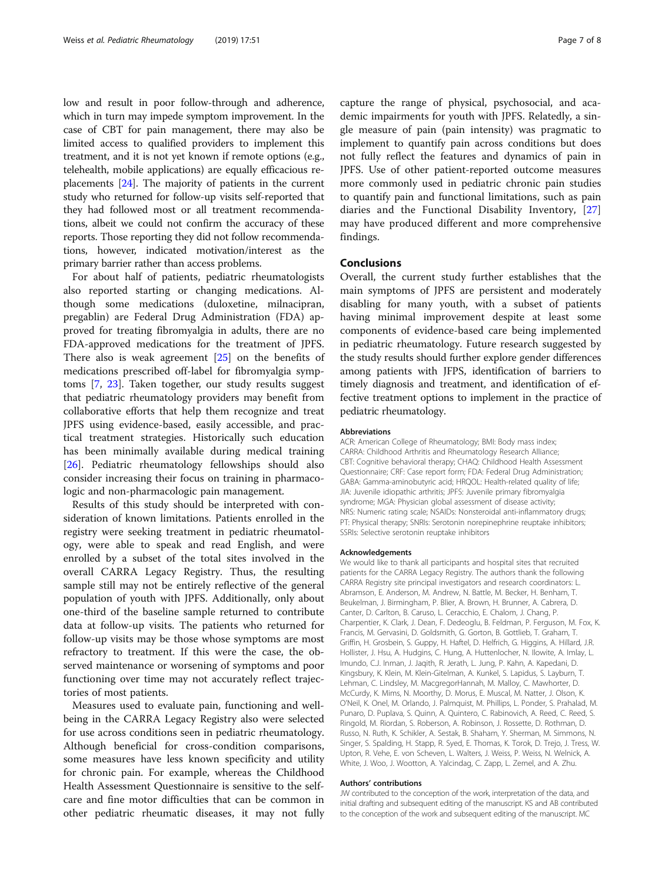low and result in poor follow-through and adherence, which in turn may impede symptom improvement. In the case of CBT for pain management, there may also be limited access to qualified providers to implement this treatment, and it is not yet known if remote options (e.g., telehealth, mobile applications) are equally efficacious replacements [\[24\]](#page-7-0). The majority of patients in the current study who returned for follow-up visits self-reported that they had followed most or all treatment recommendations, albeit we could not confirm the accuracy of these reports. Those reporting they did not follow recommendations, however, indicated motivation/interest as the primary barrier rather than access problems.

For about half of patients, pediatric rheumatologists also reported starting or changing medications. Although some medications (duloxetine, milnacipran, pregablin) are Federal Drug Administration (FDA) approved for treating fibromyalgia in adults, there are no FDA-approved medications for the treatment of JPFS. There also is weak agreement [\[25](#page-7-0)] on the benefits of medications prescribed off-label for fibromyalgia symptoms [[7](#page-7-0), [23\]](#page-7-0). Taken together, our study results suggest that pediatric rheumatology providers may benefit from collaborative efforts that help them recognize and treat JPFS using evidence-based, easily accessible, and practical treatment strategies. Historically such education has been minimally available during medical training [[26\]](#page-7-0). Pediatric rheumatology fellowships should also consider increasing their focus on training in pharmacologic and non-pharmacologic pain management.

Results of this study should be interpreted with consideration of known limitations. Patients enrolled in the registry were seeking treatment in pediatric rheumatology, were able to speak and read English, and were enrolled by a subset of the total sites involved in the overall CARRA Legacy Registry. Thus, the resulting sample still may not be entirely reflective of the general population of youth with JPFS. Additionally, only about one-third of the baseline sample returned to contribute data at follow-up visits. The patients who returned for follow-up visits may be those whose symptoms are most refractory to treatment. If this were the case, the observed maintenance or worsening of symptoms and poor functioning over time may not accurately reflect trajectories of most patients.

Measures used to evaluate pain, functioning and wellbeing in the CARRA Legacy Registry also were selected for use across conditions seen in pediatric rheumatology. Although beneficial for cross-condition comparisons, some measures have less known specificity and utility for chronic pain. For example, whereas the Childhood Health Assessment Questionnaire is sensitive to the selfcare and fine motor difficulties that can be common in other pediatric rheumatic diseases, it may not fully

capture the range of physical, psychosocial, and academic impairments for youth with JPFS. Relatedly, a single measure of pain (pain intensity) was pragmatic to implement to quantify pain across conditions but does not fully reflect the features and dynamics of pain in JPFS. Use of other patient-reported outcome measures more commonly used in pediatric chronic pain studies to quantify pain and functional limitations, such as pain diaries and the Functional Disability Inventory, [\[27](#page-7-0)] may have produced different and more comprehensive findings.

# Conclusions

Overall, the current study further establishes that the main symptoms of JPFS are persistent and moderately disabling for many youth, with a subset of patients having minimal improvement despite at least some components of evidence-based care being implemented in pediatric rheumatology. Future research suggested by the study results should further explore gender differences among patients with JFPS, identification of barriers to timely diagnosis and treatment, and identification of effective treatment options to implement in the practice of pediatric rheumatology.

#### Abbreviations

ACR: American College of Rheumatology; BMI: Body mass index; CARRA: Childhood Arthritis and Rheumatology Research Alliance; CBT: Cognitive behavioral therapy; CHAQ: Childhood Health Assessment Questionnaire; CRF: Case report form; FDA: Federal Drug Administration; GABA: Gamma-aminobutyric acid; HRQOL: Health-related quality of life; JIA: Juvenile idiopathic arthritis; JPFS: Juvenile primary fibromyalgia syndrome; MGA: Physician global assessment of disease activity; NRS: Numeric rating scale; NSAIDs: Nonsteroidal anti-inflammatory drugs; PT: Physical therapy; SNRIs: Serotonin norepinephrine reuptake inhibitors; SSRIs: Selective serotonin reuptake inhibitors

#### Acknowledgements

We would like to thank all participants and hospital sites that recruited patients for the CARRA Legacy Registry. The authors thank the following CARRA Registry site principal investigators and research coordinators: L. Abramson, E. Anderson, M. Andrew, N. Battle, M. Becker, H. Benham, T. Beukelman, J. Birmingham, P. Blier, A. Brown, H. Brunner, A. Cabrera, D. Canter, D. Carlton, B. Caruso, L. Ceracchio, E. Chalom, J. Chang, P. Charpentier, K. Clark, J. Dean, F. Dedeoglu, B. Feldman, P. Ferguson, M. Fox, K. Francis, M. Gervasini, D. Goldsmith, G. Gorton, B. Gottlieb, T. Graham, T. Griffin, H. Grosbein, S. Guppy, H. Haftel, D. Helfrich, G. Higgins, A. Hillard, J.R. Hollister, J. Hsu, A. Hudgins, C. Hung, A. Huttenlocher, N. Ilowite, A. Imlay, L. Imundo, C.J. Inman, J. Jaqith, R. Jerath, L. Jung, P. Kahn, A. Kapedani, D. Kingsbury, K. Klein, M. Klein-Gitelman, A. Kunkel, S. Lapidus, S. Layburn, T. Lehman, C. Lindsley, M. MacgregorHannah, M. Malloy, C. Mawhorter, D. McCurdy, K. Mims, N. Moorthy, D. Morus, E. Muscal, M. Natter, J. Olson, K. O'Neil, K. Onel, M. Orlando, J. Palmquist, M. Phillips, L. Ponder, S. Prahalad, M. Punaro, D. Puplava, S. Quinn, A. Quintero, C. Rabinovich, A. Reed, C. Reed, S. Ringold, M. Riordan, S. Roberson, A. Robinson, J. Rossette, D. Rothman, D. Russo, N. Ruth, K. Schikler, A. Sestak, B. Shaham, Y. Sherman, M. Simmons, N. Singer, S. Spalding, H. Stapp, R. Syed, E. Thomas, K. Torok, D. Trejo, J. Tress, W. Upton, R. Vehe, E. von Scheven, L. Walters, J. Weiss, P. Weiss, N. Welnick, A. White, J. Woo, J. Wootton, A. Yalcindag, C. Zapp, L. Zemel, and A. Zhu.

#### Authors' contributions

JW contributed to the conception of the work, interpretation of the data, and initial drafting and subsequent editing of the manuscript. KS and AB contributed to the conception of the work and subsequent editing of the manuscript. MC